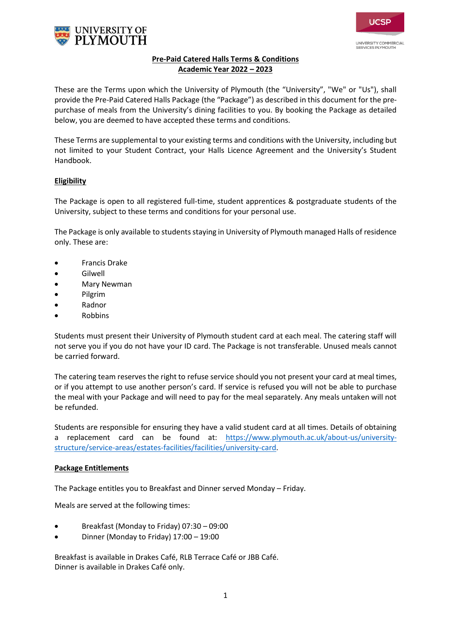



# **Pre-Paid Catered Halls Terms & Conditions Academic Year 2022 – 2023**

These are the Terms upon which the University of Plymouth (the "University", "We" or "Us"), shall provide the Pre-Paid Catered Halls Package (the "Package") as described in this document for the prepurchase of meals from the University's dining facilities to you. By booking the Package as detailed below, you are deemed to have accepted these terms and conditions.

These Terms are supplemental to your existing terms and conditions with the University, including but not limited to your Student Contract, your Halls Licence Agreement and the University's Student Handbook.

# **Eligibility**

The Package is open to all registered full-time, student apprentices & postgraduate students of the University, subject to these terms and conditions for your personal use.

The Package is only available to students staying in University of Plymouth managed Halls of residence only. These are:

- Francis Drake
- Gilwell
- Mary Newman
- Pilgrim
- Radnor
- Robbins

Students must present their University of Plymouth student card at each meal. The catering staff will not serve you if you do not have your ID card. The Package is not transferable. Unused meals cannot be carried forward.

The catering team reserves the right to refuse service should you not present your card at meal times, or if you attempt to use another person's card. If service is refused you will not be able to purchase the meal with your Package and will need to pay for the meal separately. Any meals untaken will not be refunded.

Students are responsible for ensuring they have a valid student card at all times. Details of obtaining a replacement card can be found at: [https://www.plymouth.ac.uk/about-us/university](https://www.plymouth.ac.uk/about-us/university-structure/service-areas/estates-facilities/facilities/university-card)[structure/service-areas/estates-facilities/facilities/university-card.](https://www.plymouth.ac.uk/about-us/university-structure/service-areas/estates-facilities/facilities/university-card)

### **Package Entitlements**

The Package entitles you to Breakfast and Dinner served Monday – Friday.

Meals are served at the following times:

- Breakfast (Monday to Friday) 07:30 09:00
- Dinner (Monday to Friday) 17:00 19:00

Breakfast is available in Drakes Café, RLB Terrace Café or JBB Café. Dinner is available in Drakes Café only.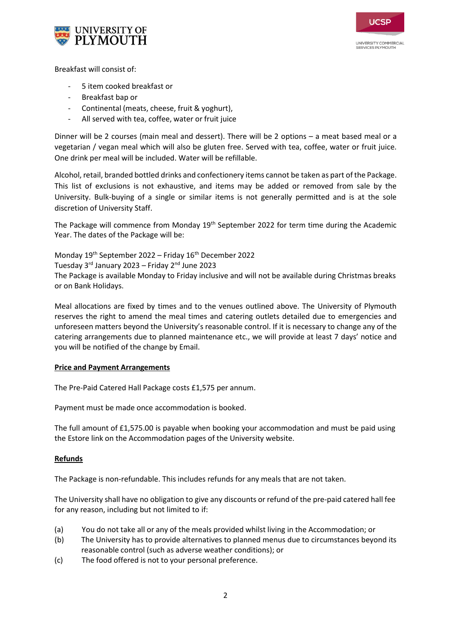



Breakfast will consist of:

- 5 item cooked breakfast or
- Breakfast bap or
- Continental (meats, cheese, fruit & yoghurt),
- All served with tea, coffee, water or fruit juice

Dinner will be 2 courses (main meal and dessert). There will be 2 options – a meat based meal or a vegetarian / vegan meal which will also be gluten free. Served with tea, coffee, water or fruit juice. One drink per meal will be included. Water will be refillable.

Alcohol, retail, branded bottled drinks and confectionery items cannot be taken as part of the Package. This list of exclusions is not exhaustive, and items may be added or removed from sale by the University. Bulk-buying of a single or similar items is not generally permitted and is at the sole discretion of University Staff.

The Package will commence from Monday  $19<sup>th</sup>$  September 2022 for term time during the Academic Year. The dates of the Package will be:

Monday 19th September 2022 – Friday 16 th December 2022 Tuesday 3<sup>rd</sup> January 2023 – Friday 2<sup>nd</sup> June 2023 The Package is available Monday to Friday inclusive and will not be available during Christmas breaks or on Bank Holidays.

Meal allocations are fixed by times and to the venues outlined above. The University of Plymouth reserves the right to amend the meal times and catering outlets detailed due to emergencies and unforeseen matters beyond the University's reasonable control. If it is necessary to change any of the catering arrangements due to planned maintenance etc., we will provide at least 7 days' notice and you will be notified of the change by Email.

# **Price and Payment Arrangements**

The Pre-Paid Catered Hall Package costs £1,575 per annum.

Payment must be made once accommodation is booked.

The full amount of £1,575.00 is payable when booking your accommodation and must be paid using the Estore link on the Accommodation pages of the University website.

### **Refunds**

The Package is non-refundable. This includes refunds for any meals that are not taken.

The University shall have no obligation to give any discounts or refund of the pre-paid catered hall fee for any reason, including but not limited to if:

- (a) You do not take all or any of the meals provided whilst living in the Accommodation; or
- (b) The University has to provide alternatives to planned menus due to circumstances beyond its reasonable control (such as adverse weather conditions); or
- (c) The food offered is not to your personal preference.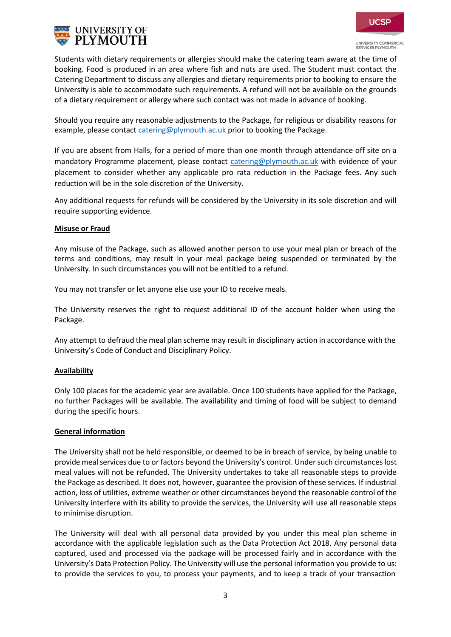



**SERVICES PLYMOUTH** 

Students with dietary requirements or allergies should make the catering team aware at the time of booking. Food is produced in an area where fish and nuts are used. The Student must contact the Catering Department to discuss any allergies and dietary requirements prior to booking to ensure the University is able to accommodate such requirements. A refund will not be available on the grounds of a dietary requirement or allergy where such contact was not made in advance of booking.

Should you require any reasonable adjustments to the Package, for religious or disability reasons for example, please contact [catering@plymouth.ac.uk](mailto:catering@plymouth.ac.uk) prior to booking the Package.

If you are absent from Halls, for a period of more than one month through attendance off site on a mandatory Programme placement, please contact [catering@plymouth.ac.uk](mailto:catering@plymouth.ac.uk) with evidence of your placement to consider whether any applicable pro rata reduction in the Package fees. Any such reduction will be in the sole discretion of the University.

Any additional requests for refunds will be considered by the University in its sole discretion and will require supporting evidence.

#### **Misuse or Fraud**

Any misuse of the Package, such as allowed another person to use your meal plan or breach of the terms and conditions, may result in your meal package being suspended or terminated by the University. In such circumstances you will not be entitled to a refund.

You may not transfer or let anyone else use your ID to receive meals.

The University reserves the right to request additional ID of the account holder when using the Package.

Any attempt to defraud the meal plan scheme may result in disciplinary action in accordance with the University's Code of Conduct and Disciplinary Policy.

### **Availability**

Only 100 places for the academic year are available. Once 100 students have applied for the Package, no further Packages will be available. The availability and timing of food will be subject to demand during the specific hours.

#### **General information**

The University shall not be held responsible, or deemed to be in breach of service, by being unable to provide meal services due to or factors beyond the University's control. Under such circumstances lost meal values will not be refunded. The University undertakes to take all reasonable steps to provide the Package as described. It does not, however, guarantee the provision of these services. If industrial action, loss of utilities, extreme weather or other circumstances beyond the reasonable control of the University interfere with its ability to provide the services, the University will use all reasonable steps to minimise disruption.

The University will deal with all personal data provided by you under this meal plan scheme in accordance with the applicable legislation such as the Data Protection Act 2018. Any personal data captured, used and processed via the package will be processed fairly and in accordance with the University's Data Protection Policy. The University will use the personal information you provide to us: to provide the services to you, to process your payments, and to keep a track of your transaction